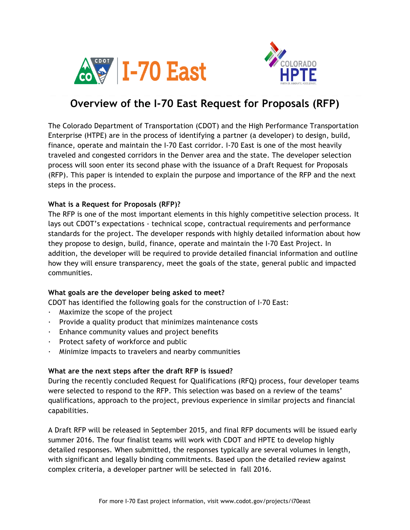



# **Overview of the I-70 East Request for Proposals (RFP)**

The Colorado Department of Transportation (CDOT) and the High Performance Transportation Enterprise (HTPE) are in the process of identifying a partner (a developer) to design, build, finance, operate and maintain the I-70 East corridor. I-70 East is one of the most heavily traveled and congested corridors in the Denver area and the state. The developer selection process will soon enter its second phase with the issuance of a Draft Request for Proposals (RFP). This paper is intended to explain the purpose and importance of the RFP and the next steps in the process.

### **What is a Request for Proposals (RFP)?**

The RFP is one of the most important elements in this highly competitive selection process. It lays out CDOT's expectations - technical scope, contractual requirements and performance standards for the project. The developer responds with highly detailed information about how they propose to design, build, finance, operate and maintain the I-70 East Project. In addition, the developer will be required to provide detailed financial information and outline how they will ensure transparency, meet the goals of the state, general public and impacted communities.

### **What goals are the developer being asked to meet?**

CDOT has identified the following goals for the construction of I-70 East:

- · Maximize the scope of the project
- $\cdot$  Provide a quality product that minimizes maintenance costs
- · Enhance community values and project benefits
- · Protect safety of workforce and public
- · Minimize impacts to travelers and nearby communities

### **What are the next steps after the draft RFP is issued?**

During the recently concluded Request for Qualifications (RFQ) process, four developer teams were selected to respond to the RFP. This selection was based on a review of the teams' qualifications, approach to the project, previous experience in similar projects and financial capabilities.

A Draft RFP will be released in September 2015, and final RFP documents will be issued early summer 2016. The four finalist teams will work with CDOT and HPTE to develop highly detailed responses. When submitted, the responses typically are several volumes in length, with significant and legally binding commitments. Based upon the detailed review against complex criteria, a developer partner will be selected in fall 2016.